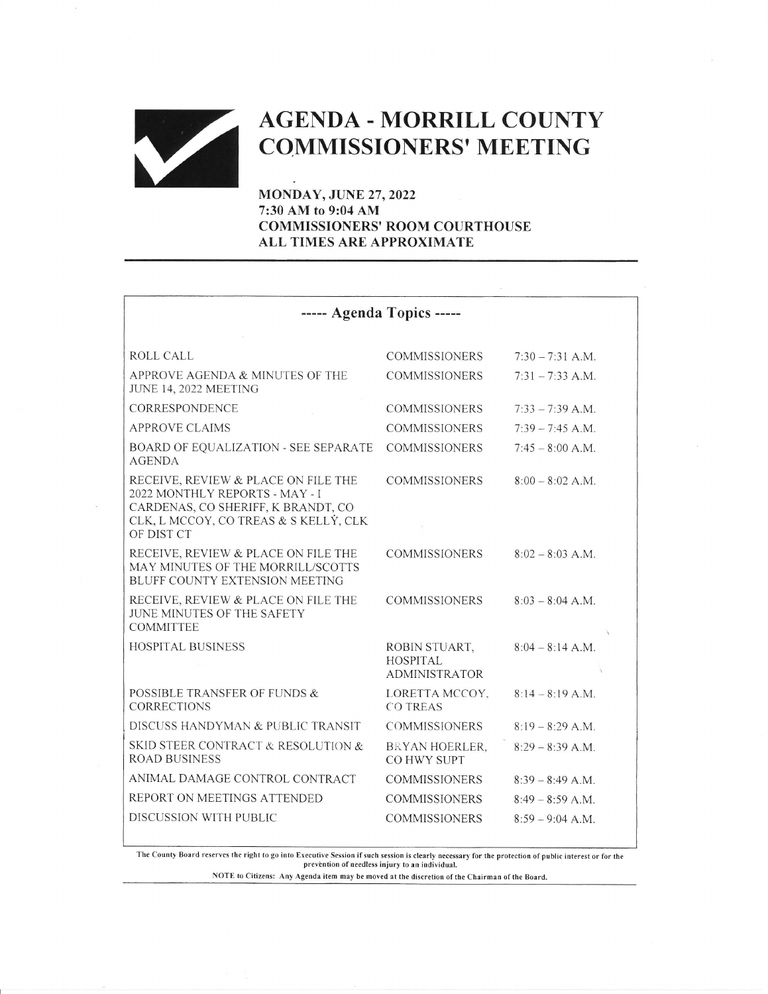# AGENDA - MORRILL COUNTY<br>COMMISSIONERS' MEETING

MONDAY, JUNE 27,2022 7:30 AM to 9:04 AM COMMISSIONERS' ROOM COURTHOUSE ALL TIMES ARE APPROXIMATE

| ----- Agenda Topics -----                                                                                                                                          |                                                   |                    |
|--------------------------------------------------------------------------------------------------------------------------------------------------------------------|---------------------------------------------------|--------------------|
|                                                                                                                                                                    |                                                   |                    |
| ROLL CALL                                                                                                                                                          | <b>COMMISSIONERS</b>                              | $7:30 - 7:31$ A.M. |
| APPROVE AGENDA & MINUTES OF THE<br><b>JUNE 14, 2022 MEETING</b>                                                                                                    | <b>COMMISSIONERS</b>                              | $7:31 - 7:33$ A.M. |
| CORRESPONDENCE                                                                                                                                                     | <b>COMMISSIONERS</b>                              | $7:33 - 7:39$ A.M. |
| <b>APPROVE CLAIMS</b>                                                                                                                                              | <b>COMMISSIONERS</b>                              | $7:39 - 7:45$ A.M. |
| <b>BOARD OF EQUALIZATION - SEE SEPARATE</b><br><b>AGENDA</b>                                                                                                       | <b>COMMISSIONERS</b>                              | $7:45 - 8:00$ A.M. |
| RECEIVE, REVIEW & PLACE ON FILE THE<br>2022 MONTHLY REPORTS - MAY - I<br>CARDENAS, CO SHERIFF, K BRANDT, CO<br>CLK, L MCCOY, CO TREAS & S KELLÝ, CLK<br>OF DIST CT | <b>COMMISSIONERS</b>                              | $8:00 - 8:02$ A.M. |
| RECEIVE, REVIEW & PLACE ON FILE THE<br>MAY MINUTES OF THE MORRILL/SCOTTS<br>BLUFF COUNTY EXTENSION MEETING                                                         | <b>COMMISSIONERS</b>                              | $8:02 - 8:03$ A.M. |
| RECEIVE, REVIEW & PLACE ON FILE THE<br><b>JUNE MINUTES OF THE SAFETY</b><br><b>COMMITTEE</b>                                                                       | <b>COMMISSIONERS</b>                              | $8:03 - 8:04$ A.M. |
| <b>HOSPITAL BUSINESS</b>                                                                                                                                           | ROBIN STUART,<br>HOSPITAL<br><b>ADMINISTRATOR</b> | $8:04 - 8:14 A.M.$ |
| POSSIBLE TRANSFER OF FUNDS &<br><b>CORRECTIONS</b>                                                                                                                 | LORETTA MCCOY.<br><b>CO TREAS</b>                 | $8:14 - 8:19$ A.M. |
| DISCUSS HANDYMAN & PUBLIC TRANSIT                                                                                                                                  | <b>COMMISSIONERS</b>                              | $8:19 - 8:29$ A.M. |
| SKID STEER CONTRACT & RESOLUTION &<br><b>ROAD BUSINESS</b>                                                                                                         | BRYAN HOERLER.<br>CO HWY SUPT                     | $8:29 - 8:39 A.M.$ |
| ANIMAL DAMAGE CONTROL CONTRACT                                                                                                                                     | <b>COMMISSIONERS</b>                              | $8:39 - 8:49$ A.M. |
| REPORT ON MEETINGS ATTENDED                                                                                                                                        | <b>COMMISSIONERS</b>                              | $8:49 - 8:59$ A.M. |
| DISCUSSION WITH PUBLIC                                                                                                                                             | <b>COMMISSIONERS</b>                              | $8:59 - 9:04$ A.M. |

The County Board reserves the right to go into Executive Session if such session is clearly necessary for the protection of public interest or for the prevention of needless injury to an individual.

NOTE to Citizens: Any Agenda item may be moved at the discretion of the Chairman of the Board.